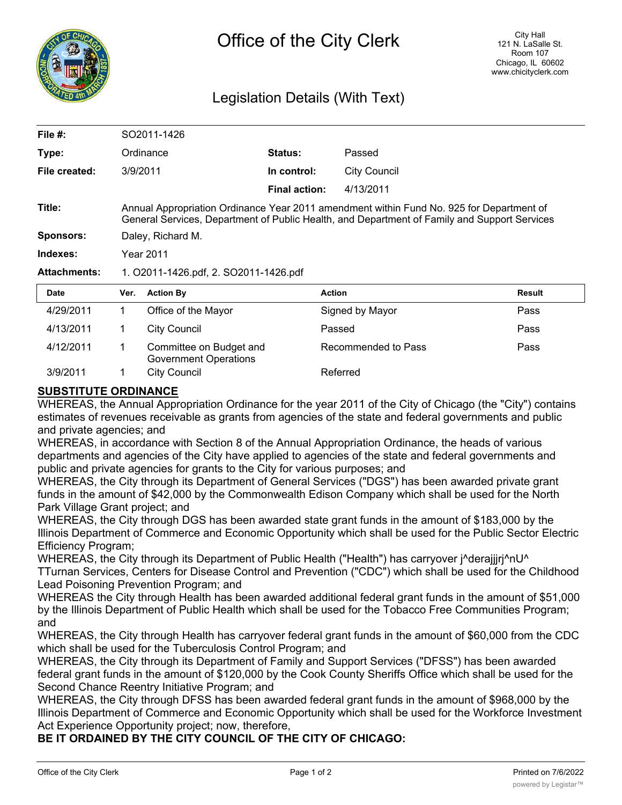

## Legislation Details (With Text)

| File $#$ :          | SO2011-1426                                                                                                                                                                              |                     |                |                     |        |  |
|---------------------|------------------------------------------------------------------------------------------------------------------------------------------------------------------------------------------|---------------------|----------------|---------------------|--------|--|
| Type:               |                                                                                                                                                                                          | Ordinance           | <b>Status:</b> | Passed              |        |  |
| File created:       | 3/9/2011                                                                                                                                                                                 |                     | In control:    | <b>City Council</b> |        |  |
|                     |                                                                                                                                                                                          |                     | Final action:  | 4/13/2011           |        |  |
| Title:              | Annual Appropriation Ordinance Year 2011 amendment within Fund No. 925 for Department of<br>General Services, Department of Public Health, and Department of Family and Support Services |                     |                |                     |        |  |
| Sponsors:           | Daley, Richard M.                                                                                                                                                                        |                     |                |                     |        |  |
| Indexes:            | Year 2011                                                                                                                                                                                |                     |                |                     |        |  |
| <b>Attachments:</b> | 1. O2011-1426.pdf, 2. SO2011-1426.pdf                                                                                                                                                    |                     |                |                     |        |  |
| <b>Date</b>         | Ver.                                                                                                                                                                                     | <b>Action By</b>    |                | <b>Action</b>       | Result |  |
| 4/29/2011           | 1.                                                                                                                                                                                       | Office of the Mayor |                | Signed by Mayor     | Pass   |  |
| 4/13/2011           | 1                                                                                                                                                                                        | City Council        |                | Passed              | Pass   |  |

|          | Government Operations |          |
|----------|-----------------------|----------|
| 3/9/2011 | City Council          | Referred |

## **SUBSTITUTE ORDINANCE**

WHEREAS, the Annual Appropriation Ordinance for the year 2011 of the City of Chicago (the "City") contains estimates of revenues receivable as grants from agencies of the state and federal governments and public and private agencies; and

WHEREAS, in accordance with Section 8 of the Annual Appropriation Ordinance, the heads of various departments and agencies of the City have applied to agencies of the state and federal governments and public and private agencies for grants to the City for various purposes; and

4/12/2011 1 Committee on Budget and Recommended to Pass Pass

WHEREAS, the City through its Department of General Services ("DGS") has been awarded private grant funds in the amount of \$42,000 by the Commonwealth Edison Company which shall be used for the North Park Village Grant project; and

WHEREAS, the City through DGS has been awarded state grant funds in the amount of \$183,000 by the Illinois Department of Commerce and Economic Opportunity which shall be used for the Public Sector Electric Efficiency Program;

WHEREAS, the City through its Department of Public Health ("Health") has carryover j^derajjjrj^nU^ TTurnan Services, Centers for Disease Control and Prevention ("CDC") which shall be used for the Childhood Lead Poisoning Prevention Program; and

WHEREAS the City through Health has been awarded additional federal grant funds in the amount of \$51,000 by the Illinois Department of Public Health which shall be used for the Tobacco Free Communities Program; and

WHEREAS, the City through Health has carryover federal grant funds in the amount of \$60,000 from the CDC which shall be used for the Tuberculosis Control Program; and

WHEREAS, the City through its Department of Family and Support Services ("DFSS") has been awarded federal grant funds in the amount of \$120,000 by the Cook County Sheriffs Office which shall be used for the Second Chance Reentry Initiative Program; and

WHEREAS, the City through DFSS has been awarded federal grant funds in the amount of \$968,000 by the Illinois Department of Commerce and Economic Opportunity which shall be used for the Workforce Investment Act Experience Opportunity project; now, therefore,

**BE IT ORDAINED BY THE CITY COUNCIL OF THE CITY OF CHICAGO:**